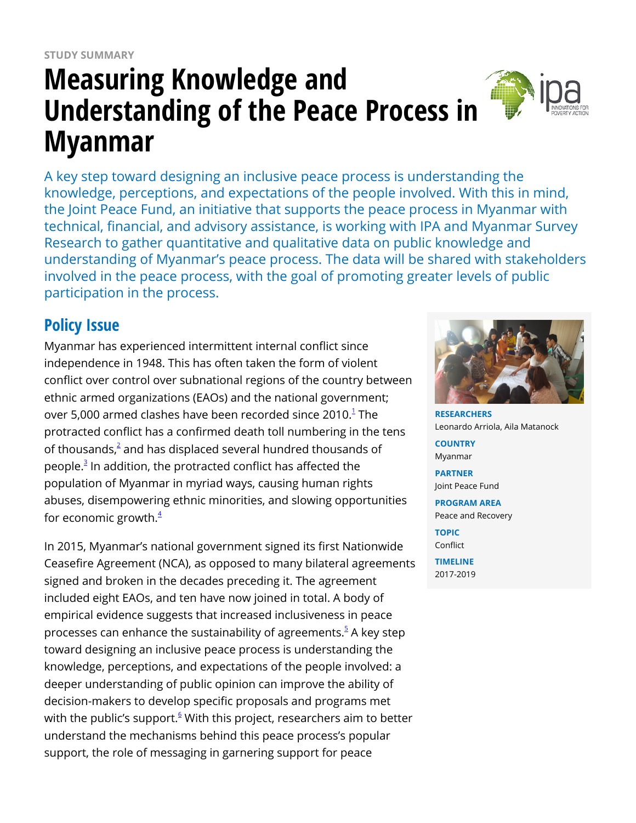# **Measuring Knowledge and Understanding of the Peace Process in Myanmar**

A key step toward designing an inclusive peace process is understanding the knowledge, perceptions, and expectations of the people involved. With this in mind, the Joint Peace Fund, an initiative that supports the peace process in Myanmar with technical, financial, and advisory assistance, is working with IPA and Myanmar Survey Research to gather quantitative and qualitative data on public knowledge and understanding of Myanmar's peace process. The data will be shared with stakeholders involved in the peace process, with the goal of promoting greater levels of public participation in the process.

# **Policy Issue**

Myanmar has experienced intermittent internal conflict since independence in 1948. This has often taken the form of violent conflict over control over subnational regions of the country between ethnic armed organizations (EAOs) and the national government; over 5,000 armed clashes have been recorded since 20[1](https://www.poverty-action.org/printpdf/36351#_ftn1)0. $^{\rm 1}$  The protracted conflict has a confirmed death toll numbering in the tens of thousands, $^2$  $^2$  and has displaced several hundred thousands of people.<sup>[3](https://www.poverty-action.org/printpdf/36351#_ftn3)</sup> In addition, the protracted conflict has affected the population of Myanmar in myriad ways, causing human rights abuses, disempowering ethnic minorities, and slowing opportunities for economic growth. $4$ 

In 2015, Myanmar's national government signed its first Nationwide Ceasefire Agreement (NCA), as opposed to many bilateral agreements signed and broken in the decades preceding it. The agreement included eight EAOs, and ten have now joined in total. A body of empirical evidence suggests that increased inclusiveness in peace processes can enhance the sustainability of agreements.<sup>[5](https://www.poverty-action.org/printpdf/36351#_ftn5)</sup> A key step toward designing an inclusive peace process is understanding the knowledge, perceptions, and expectations of the people involved: a deeper understanding of public opinion can improve the ability of decision-makers to develop specific proposals and programs met with the public's support.<sup>§</sup> With this project, researchers aim to better understand the mechanisms behind this peace process's popular support, the role of messaging in garnering support for peace



**RESEARCHERS** Leonardo Arriola, Aila Matanock **COUNTRY** Myanmar **PARTNER** Joint Peace Fund **PROGRAM AREA** Peace and Recovery **TOPIC** Conflict **TIMELINE** 2017-2019

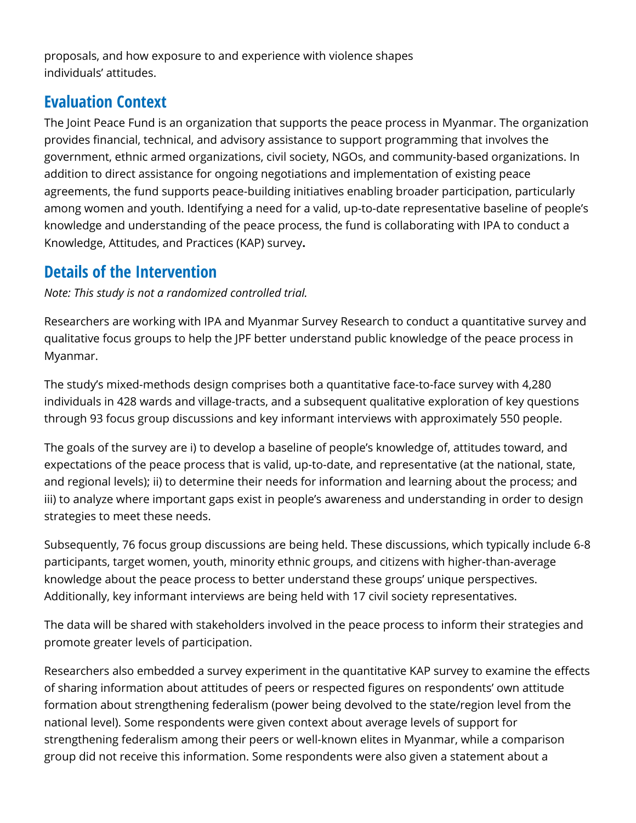proposals, and how exposure to and experience with violence shapes individuals' attitudes.

### **Evaluation Context**

The Joint Peace Fund is an organization that supports the peace process in Myanmar. The organization provides financial, technical, and advisory assistance to support programming that involves the government, ethnic armed organizations, civil society, NGOs, and community-based organizations. In addition to direct assistance for ongoing negotiations and implementation of existing peace agreements, the fund supports peace-building initiatives enabling broader participation, particularly among women and youth. Identifying a need for a valid, up-to-date representative baseline of people's knowledge and understanding of the peace process, the fund is collaborating with IPA to conduct a Knowledge, Attitudes, and Practices (KAP) survey**.**

# **Details of the Intervention**

*Note: This study is not a randomized controlled trial.*

Researchers are working with IPA and Myanmar Survey Research to conduct a quantitative survey and qualitative focus groups to help the JPF better understand public knowledge of the peace process in Myanmar.

The study's mixed-methods design comprises both a quantitative face-to-face survey with 4,280 individuals in 428 wards and village-tracts, and a subsequent qualitative exploration of key questions through 93 focus group discussions and key informant interviews with approximately 550 people.

The goals of the survey are i) to develop a baseline of people's knowledge of, attitudes toward, and expectations of the peace process that is valid, up-to-date, and representative (at the national, state, and regional levels); ii) to determine their needs for information and learning about the process; and iii) to analyze where important gaps exist in people's awareness and understanding in order to design strategies to meet these needs.

Subsequently, 76 focus group discussions are being held. These discussions, which typically include 6-8 participants, target women, youth, minority ethnic groups, and citizens with higher-than-average knowledge about the peace process to better understand these groups' unique perspectives. Additionally, key informant interviews are being held with 17 civil society representatives.

The data will be shared with stakeholders involved in the peace process to inform their strategies and promote greater levels of participation.

Researchers also embedded a survey experiment in the quantitative KAP survey to examine the effects of sharing information about attitudes of peers or respected figures on respondents' own attitude formation about strengthening federalism (power being devolved to the state/region level from the national level). Some respondents were given context about average levels of support for strengthening federalism among their peers or well-known elites in Myanmar, while a comparison group did not receive this information. Some respondents were also given a statement about a